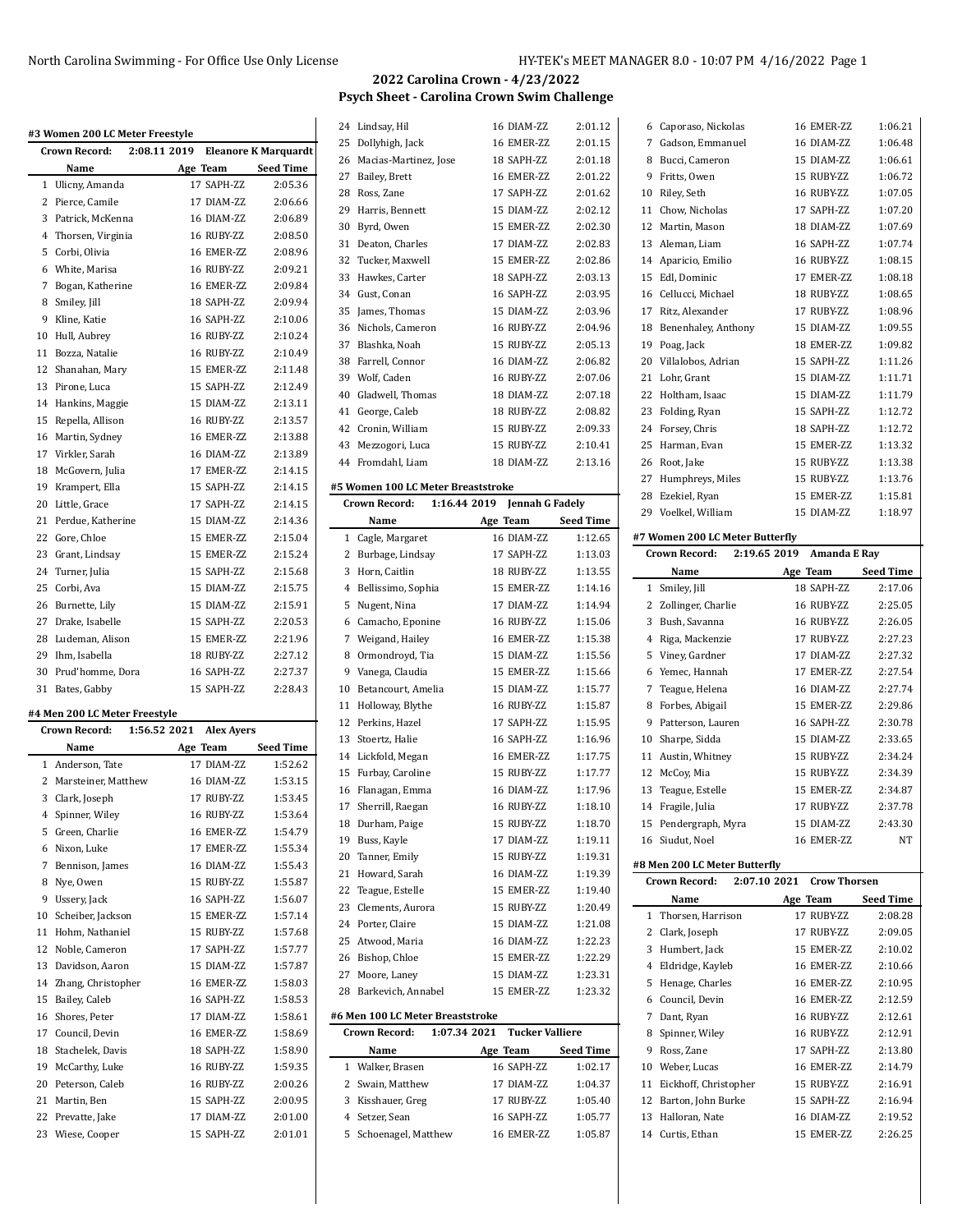$\ddot{\phantom{a}}$ 

# **2022 Carolina Crown - 4/23/2022 Psych Sheet - Carolina Crown Swim Challenge**

|              | Crown Record:                 | 2:08.11 2019                      | <b>Eleanore K Marquardt</b> |
|--------------|-------------------------------|-----------------------------------|-----------------------------|
|              | Name                          | Age Team                          | Seed Time                   |
| $\mathbf{1}$ | Ulicny, Amanda                | 17 SAPH-ZZ                        | 2:05.36                     |
| 2            | Pierce, Camile                | 17 DIAM-ZZ                        | 2:06.66                     |
|              | 3 Patrick, McKenna            | 16 DIAM-ZZ                        | 2:06.89                     |
| 4            | Thorsen, Virginia             | 16 RUBY-ZZ                        | 2:08.50                     |
| 5            | Corbi, Olivia                 | 16 EMER-ZZ                        | 2:08.96                     |
|              | 6 White, Marisa               | 16 RUBY-ZZ                        | 2:09.21                     |
| 7            | Bogan, Katherine              | 16 EMER-ZZ                        | 2:09.84                     |
|              | 8 Smiley, Jill                | 18 SAPH-ZZ                        | 2:09.94                     |
| 9            | Kline, Katie                  | 16 SAPH-ZZ                        | 2:10.06                     |
|              | 10 Hull, Aubrey               | 16 RUBY-ZZ                        | 2:10.24                     |
|              | 11 Bozza, Natalie             | 16 RUBY-ZZ                        | 2:10.49                     |
|              | 12 Shanahan, Mary             | 15 EMER-ZZ                        | 2:11.48                     |
|              | 13 Pirone, Luca               | 15 SAPH-ZZ                        | 2:12.49                     |
|              | 14 Hankins, Maggie            | 15 DIAM-ZZ                        | 2:13.11                     |
| 15           | Repella, Allison              | 16 RUBY-ZZ                        | 2:13.57                     |
|              | 16 Martin, Sydney             | 16 EMER-ZZ                        | 2:13.88                     |
|              |                               | 16 DIAM-ZZ                        | 2:13.89                     |
|              | 17 Virkler, Sarah             | 17 EMER-ZZ                        |                             |
|              | 18 McGovern, Julia            |                                   | 2:14.15                     |
|              | 19 Krampert, Ella             | 15 SAPH-ZZ                        | 2:14.15                     |
|              | 20 Little, Grace              | 17 SAPH-7.7.                      | 2:14.15                     |
|              | 21 Perdue. Katherine          | 15 DIAM-ZZ                        | 2:14.36                     |
|              | 22 Gore, Chloe                | 15 EMER-ZZ                        | 2:15.04                     |
|              | 23 Grant, Lindsay             | 15 EMER-ZZ                        | 2:15.24                     |
|              | 24 Turner, Julia              | 15 SAPH-ZZ                        | 2:15.68                     |
|              | 25 Corbi, Ava                 | 15 DIAM-ZZ                        | 2:15.75                     |
|              | 26 Burnette, Lily             | 15 DIAM-ZZ                        | 2:15.91                     |
|              | 27 Drake, Isabelle            | 15 SAPH-ZZ                        | 2:20.53                     |
|              | 28 Ludeman, Alison            | 15 EMER-ZZ                        | 2:21.96                     |
|              | 29 Ihm, Isabella              | 18 RUBY-ZZ                        | 2:27.12                     |
|              | 30 Prud'homme, Dora           | 16 SAPH-ZZ                        | 2:27.37                     |
|              | 31 Bates, Gabby               | 15 SAPH-ZZ                        | 2:28.43                     |
|              | #4 Men 200 LC Meter Freestyle |                                   |                             |
|              | Crown Record:                 | 1:56.52 2021<br><b>Alex Ayers</b> |                             |
|              | Name                          | Age Team                          | <b>Seed Time</b>            |
|              | 1 Anderson, Tate              | 17 DIAM-ZZ                        | 1:52.62                     |
| 2            | Marsteiner, Matthew           | 16 DIAM-ZZ                        | 1:53.15                     |
| 3            | Clark, Joseph                 | 17 RUBY-ZZ                        | 1:53.45                     |
| 4            | Spinner, Wiley                | 16 RUBY-ZZ                        | 1:53.64                     |
| 5            | Green, Charlie                | 16 EMER-ZZ                        | 1:54.79                     |
| 6            | Nixon, Luke                   | 17 EMER-ZZ                        | 1:55.34                     |
| 7            | Bennison, James               | 16 DIAM-ZZ                        | 1:55.43                     |
| 8            | Nye, Owen                     | 15 RUBY-ZZ                        | 1:55.87                     |
| 9            | Ussery, Jack                  | 16 SAPH-ZZ                        | 1:56.07                     |
| 10           | Scheiber, Jackson             | 15 EMER-ZZ                        | 1:57.14                     |
| 11           | Hohm, Nathaniel               | 15 RUBY-ZZ                        | 1:57.68                     |
| 12           | Noble, Cameron                | 17 SAPH-ZZ                        | 1:57.77                     |
|              |                               | 15 DIAM-ZZ                        |                             |
| 13           | Davidson, Aaron               | 16 EMER-ZZ                        | 1:57.87                     |
| 14           | Zhang, Christopher            |                                   | 1:58.03                     |
| 15           | Bailey, Caleb                 | 16 SAPH-ZZ                        | 1:58.53                     |
| 16           | Shores, Peter                 | 17 DIAM-ZZ                        | 1:58.61                     |
| 17           | Council, Devin                | 16 EMER-ZZ                        | 1:58.69                     |
| 18           | Stachelek, Davis              | 18 SAPH-ZZ                        | 1:58.90                     |
| 19           | McCarthy, Luke                | 16 RUBY-ZZ                        | 1:59.35                     |
| 20           | Peterson, Caleb               | 16 RUBY-ZZ                        | 2:00.26                     |
| 21           | Martin, Ben                   | 15 SAPH-ZZ                        | 2:00.95                     |
| 22           | Prevatte, Jake                | 17 DIAM-ZZ                        | 2:01.00                     |
|              |                               | 15 SAPH-ZZ                        | 2:01.01                     |

| 24           | Lindsay, Hil                         | 16 DIAM-ZZ             | 2:01.12          |
|--------------|--------------------------------------|------------------------|------------------|
| 25           | Dollyhigh, Jack                      | 16 EMER-ZZ             | 2:01.15          |
| 26           | Macias-Martinez, Jose                | 18 SAPH-ZZ             | 2:01.18          |
| 27           | Bailey, Brett                        | 16 EMER-ZZ             | 2:01.22          |
| 28           | Ross, Zane                           | 17 SAPH-ZZ             | 2:01.62          |
| 29           | Harris, Bennett                      | 15 DIAM-ZZ             | 2:02.12          |
| 30           | Byrd, Owen                           | 15 EMER-ZZ             | 2:02.30          |
| 31           | Deaton, Charles                      | 17 DIAM-ZZ             | 2:02.83          |
| 32           | Tucker, Maxwell                      | 15 EMER-ZZ             | 2:02.86          |
| 33           | Hawkes, Carter                       | 18 SAPH-ZZ             | 2:03.13          |
|              | 34 Gust, Conan                       | 16 SAPH-ZZ             | 2:03.95          |
| 35           | James, Thomas                        | 15 DIAM-ZZ             | 2:03.96          |
| 36           | Nichols, Cameron                     | 16 RUBY-ZZ             | 2:04.96          |
| 37           | Blashka, Noah                        | 15 RUBY-ZZ             | 2:05.13          |
| 38           | Farrell, Connor                      | 16 DIAM-ZZ             | 2:06.82          |
|              | 39 Wolf, Caden                       | 16 RUBY-ZZ             | 2:07.06          |
| 40           |                                      | 18 DIAM-ZZ             | 2:07.18          |
|              | Gladwell, Thomas                     |                        |                  |
| 41           | George, Caleb                        | 18 RUBY-ZZ             | 2:08.82          |
|              | 42 Cronin, William                   | 15 RUBY-ZZ             | 2:09.33          |
| 43           | Mezzogori, Luca                      | 15 RUBY-ZZ             | 2:10.41          |
|              | 44 Fromdahl, Liam                    | 18 DIAM-ZZ             | 2:13.16          |
|              | #5 Women 100 LC Meter Breaststroke   |                        |                  |
|              | 1:16.44 2019<br><b>Crown Record:</b> | Jennah G Fadely        |                  |
|              | Name                                 | Age Team               | <b>Seed Time</b> |
| $\mathbf{1}$ | Cagle, Margaret                      | 16 DIAM-ZZ             | 1:12.65          |
| 2            | Burbage, Lindsay                     | 17 SAPH-ZZ             | 1:13.03          |
| 3            | Horn, Caitlin                        | 18 RUBY-ZZ             | 1:13.55          |
|              | 4 Bellissimo, Sophia                 | 15 EMER-ZZ             | 1:14.16          |
| 5            | Nugent, Nina                         | 17 DIAM-ZZ             | 1:14.94          |
| 6            | Camacho, Eponine                     | 16 RUBY-ZZ             | 1:15.06          |
| 7            | Weigand, Hailey                      | 16 EMER-ZZ             | 1:15.38          |
| 8            | Ormondroyd, Tia                      | 15 DIAM-ZZ             | 1:15.56          |
| 9            | Vanega, Claudia                      | 15 EMER-ZZ             | 1:15.66          |
| 10           | Betancourt, Amelia                   | 15 DIAM-ZZ             | 1:15.77          |
| 11           | Holloway, Blythe                     | 16 RUBY-ZZ             | 1:15.87          |
| 12           | Perkins, Hazel                       | 17 SAPH-ZZ             | 1:15.95          |
| 13           | Stoertz, Halie                       | 16 SAPH-ZZ             | 1:16.96          |
|              | 14 Lickfold, Megan                   | 16 EMER-ZZ             | 1:17.75          |
| 15           | Furbay, Caroline                     | 15 RUBY-ZZ             | 1:17.77          |
| 16           | Flanagan, Emma                       | 16 DIAM-ZZ             | 1:17.96          |
| 17           | Sherrill, Raegan                     | 16 RUBY-ZZ             | 1:18.10          |
| 18           | Durham, Paige                        | 15 RUBY-ZZ             | 1:18.70          |
| 19           | Buss, Kayle                          | 17 DIAM-ZZ             | 1:19.11          |
| 20           | Tanner, Emily                        | 15 RUBY-ZZ             | 1:19.31          |
| 21           | Howard, Sarah                        | 16 DIAM-ZZ             | 1:19.39          |
| 22           | Teague, Estelle                      | 15 EMER-ZZ             | 1:19.40          |
| 23           | Clements, Aurora                     | 15 RUBY-ZZ             | 1:20.49          |
|              | 24 Porter, Claire                    | 15 DIAM-ZZ             | 1:21.08          |
| 25           | Atwood, Maria                        | 16 DIAM-ZZ             | 1:22.23          |
| 26           | Bishop, Chloe                        | 15 EMER-ZZ             | 1:22.29          |
| 27           | Moore, Laney                         | 15 DIAM-ZZ             | 1:23.31          |
| 28           | Barkevich, Annabel                   | 15 EMER-ZZ             | 1:23.32          |
|              | #6 Men 100 LC Meter Breaststroke     |                        |                  |
|              | 1:07.34 2021<br><b>Crown Record:</b> | <b>Tucker Valliere</b> |                  |
|              | Name                                 | Age Team               | <b>Seed Time</b> |
| 1            | Walker, Brasen                       | 16 SAPH-ZZ             | 1:02.17          |
| 2            | Swain, Matthew                       | 17 DIAM-ZZ             | 1:04.37          |
| 3            | Kisshauer, Greg                      | 17 RUBY-ZZ             | 1:05.40          |
|              |                                      |                        |                  |

 Setzer, Sean 16 SAPH-ZZ 1:05.77 Schoenagel, Matthew 16 EMER-ZZ 1:05.87

| 6  | Caporaso, Nickolas                   | 16 EMER-ZZ                          | 1:06.21          |
|----|--------------------------------------|-------------------------------------|------------------|
| 7  | Gadson, Emmanuel                     | 16 DIAM-ZZ                          | 1:06.48          |
| 8  | Bucci, Cameron                       | 15 DIAM-ZZ                          | 1:06.61          |
| 9  | Fritts, Owen                         | 15 RUBY-ZZ                          | 1:06.72          |
| 10 | Riley, Seth                          | 16 RUBY-ZZ                          | 1:07.05          |
| 11 | Chow, Nicholas                       | 17 SAPH-ZZ                          | 1:07.20          |
| 12 | Martin, Mason                        | 18 DIAM-ZZ                          | 1:07.69          |
| 13 | Aleman, Liam                         | 16 SAPH-ZZ                          | 1:07.74          |
|    | 14 Aparicio, Emilio                  | 16 RUBY-ZZ                          | 1:08.15          |
| 15 | Edl, Dominic                         | 17 EMER-ZZ                          | 1:08.18          |
| 16 | Cellucci, Michael                    | 18 RUBY-ZZ                          | 1:08.65          |
| 17 | Ritz, Alexander                      | 17 RUBY-ZZ                          | 1:08.96          |
| 18 | Benenhaley, Anthony                  | 15 DIAM-ZZ                          | 1:09.55          |
|    | 19 Poag, Jack                        | 18 EMER-7.7.                        | 1:09.82          |
| 20 | Villalobos, Adrian                   | 15 SAPH-ZZ                          | 1:11.26          |
| 21 | Lohr, Grant                          | 15 DIAM-ZZ                          | 1:11.71          |
| 22 | Holtham, Isaac                       | 15 DIAM-ZZ                          | 1:11.79          |
| 23 | Folding, Ryan                        | 15 SAPH-ZZ                          | 1:12.72          |
|    | 24 Forsey, Chris                     | 18 SAPH-ZZ                          | 1:12.72          |
| 25 | Harman, Evan                         | 15 EMER-ZZ                          | 1:13.32          |
| 26 | Root, Jake                           | 15 RUBY-ZZ                          | 1:13.38          |
| 27 | Humphreys, Miles                     | 15 RUBY-ZZ                          | 1:13.76          |
| 28 |                                      | 15 EMER-ZZ                          | 1:15.81          |
|    | Ezekiel, Ryan<br>29 Voelkel, William | 15 DIAM-ZZ                          | 1:18.97          |
|    |                                      |                                     |                  |
|    | #7 Women 200 LC Meter Butterfly      |                                     |                  |
|    | Crown Record:                        | 2:19.65 2019<br>Amanda E Ray        |                  |
|    | Name                                 | Age Team                            | <b>Seed Time</b> |
| 1  | Smiley, Jill                         | 18 SAPH-ZZ                          | 2:17.06          |
| 2  | Zollinger, Charlie                   | 16 RUBY-ZZ                          | 2:25.05          |
|    |                                      |                                     |                  |
| 3  | Bush, Savanna                        | 16 RUBY-ZZ                          | 2:26.05          |
| 4  | Riga, Mackenzie                      | 17 RUBY-ZZ                          | 2:27.23          |
| 5  | Viney, Gardner                       | 17 DIAM-ZZ                          | 2:27.32          |
| 6  | Yemec, Hannah                        | 17 EMER-ZZ                          | 2:27.54          |
| 7  | Teague, Helena                       | 16 DIAM-ZZ                          | 2:27.74          |
| 8  | Forbes, Abigail                      | 15 EMER-ZZ                          | 2:29.86          |
| 9  | Patterson, Lauren                    | 16 SAPH-ZZ                          | 2:30.78          |
| 10 | Sharpe, Sidda                        | 15 DIAM-ZZ                          | 2:33.65          |
| 11 | Austin, Whitney                      | 15 RUBY-ZZ                          | 2:34.24          |
| 12 | McCoy, Mia                           | 15 RUBY-ZZ                          | 2:34.39          |
| 13 | Teague, Estelle                      | 15 EMER-ZZ                          | 2:34.87          |
| 14 | Fragile, Julia                       | 17 RUBY-ZZ                          | 2:37.78          |
| 15 | Pendergraph, Myra                    | 15 DIAM-ZZ                          | 2:43.30          |
| 16 | Siudut, Noel                         | 16 EMER-ZZ                          | NT               |
|    | #8 Men 200 LC Meter Butterfly        |                                     |                  |
|    | Crown Record:                        | 2:07.10 2021<br><b>Crow Thorsen</b> |                  |
|    | Name                                 | Age Team                            | <b>Seed Time</b> |
| 1  | Thorsen, Harrison                    | 17 RUBY-ZZ                          | 2:08.28          |
| 2  | Clark, Joseph                        | 17 RUBY-ZZ                          | 2:09.05          |
| 3  | Humbert, Jack                        | 15 EMER-ZZ                          | 2:10.02          |
| 4  | Eldridge, Kayleb                     | 16 EMER-ZZ                          | 2:10.66          |
| 5  | Henage, Charles                      | 16 EMER-ZZ                          | 2:10.95          |
| 6  | Council, Devin                       | 16 EMER-ZZ                          | 2:12.59          |
| 7  | Dant, Ryan                           | 16 RUBY-ZZ                          | 2:12.61          |
| 8  | Spinner, Wiley                       | 16 RUBY-ZZ                          | 2:12.91          |
| 9  | Ross, Zane                           | 17 SAPH-ZZ                          | 2:13.80          |
| 10 | Weber, Lucas                         | 16 EMER-ZZ                          | 2:14.79          |
| 11 | Eickhoff, Christopher                | 15 RUBY-ZZ                          | 2:16.91          |
|    | 12 Barton, John Burke                | 15 SAPH-ZZ                          | 2:16.94          |

Curtis, Ethan 15 EMER-ZZ 2:26.25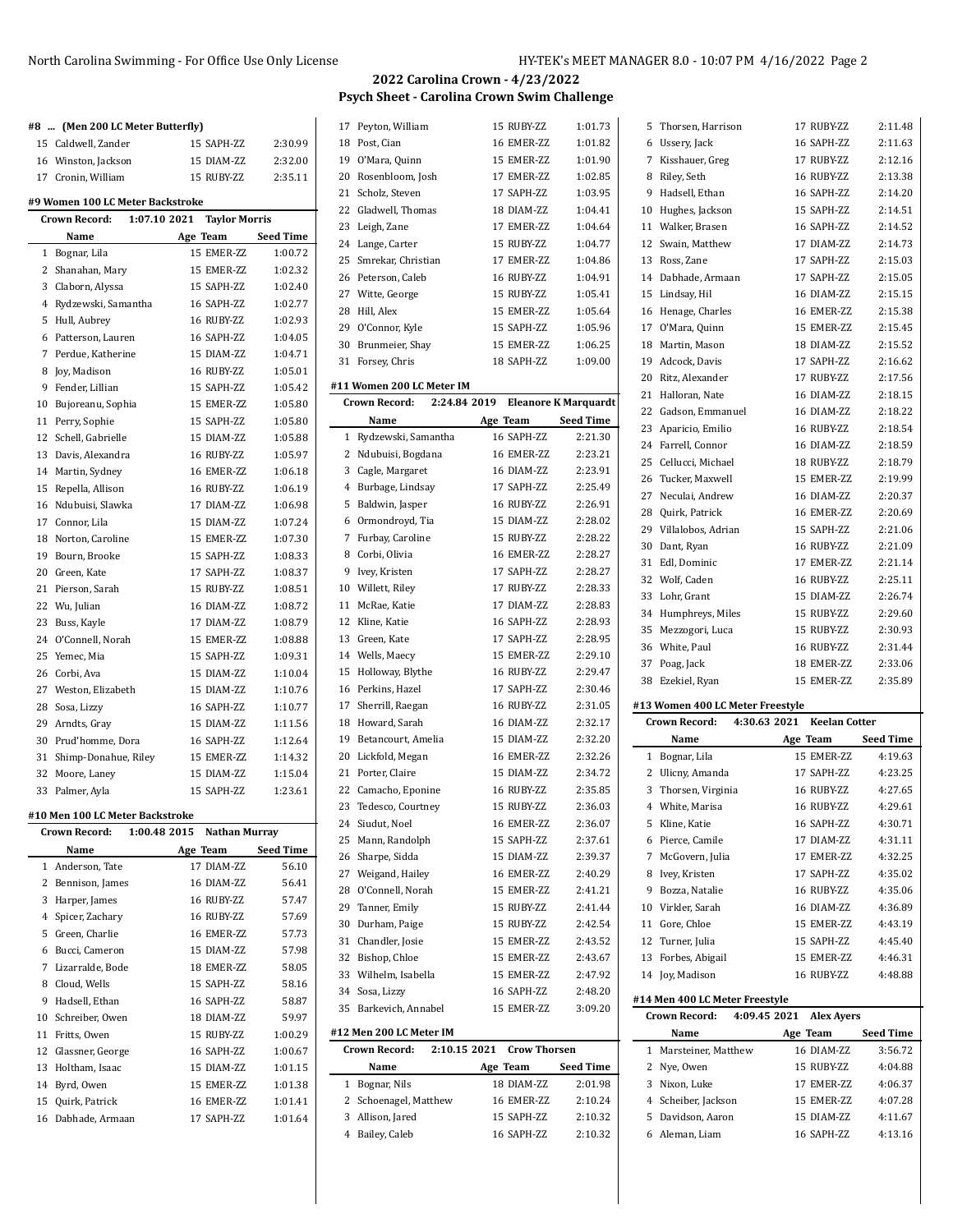#### **#8 ... (Men 200 LC Meter Butterfly)**

|  | 15 Caldwell. Zander | 15 SAPH-ZZ | 2:30.99 |
|--|---------------------|------------|---------|
|  | 16 Winston, Jackson | 15 DIAM-ZZ | 2:32.00 |
|  | 17 Cronin. William  | 15 RUBY-ZZ | 2:35.11 |
|  |                     |            |         |

| #9 Women 100 LC Meter Backstroke |                               |                      |                  |  |
|----------------------------------|-------------------------------|----------------------|------------------|--|
|                                  | 1:07.10 2021<br>Crown Record: | <b>Taylor Morris</b> |                  |  |
|                                  | Name                          | Age Team             | <b>Seed Time</b> |  |
| 1                                | Bognar, Lila                  | 15 EMER-ZZ           | 1:00.72          |  |
| 2                                | Shanahan, Mary                | 15 EMER-ZZ           | 1:02.32          |  |
| 3                                | Claborn, Alyssa               | 15 SAPH-ZZ           | 1:02.40          |  |
| 4                                | Rydzewski, Samantha           | 16 SAPH-77           | 1:02.77          |  |
| 5                                | Hull, Aubrey                  | 16 RUBY-ZZ           | 1:02.93          |  |
| 6                                | Patterson, Lauren             | 16 SAPH-ZZ           | 1:04.05          |  |
| $7^{\circ}$                      | Perdue, Katherine             | 15 DIAM-ZZ           | 1:04.71          |  |
| 8                                | Joy, Madison                  | 16 RUBY-ZZ           | 1:05.01          |  |
| 9                                | Fender, Lillian               | 15 SAPH-ZZ           | 1:05.42          |  |
| 10                               | Bujoreanu, Sophia             | 15 EMER-7.7.         | 1:05.80          |  |
| 11                               | Perry, Sophie                 | 15 SAPH-ZZ           | 1:05.80          |  |
| 12                               | Schell, Gabrielle             | 15 DIAM-ZZ           | 1:05.88          |  |
| 13                               | Davis. Alexandra              | 16 RUBY-ZZ           | 1:05.97          |  |
|                                  | 14 Martin, Sydney             | 16 EMER-ZZ           | 1:06.18          |  |
| 15                               | Repella, Allison              | 16 RUBY-ZZ           | 1:06.19          |  |
|                                  | 16 Ndubuisi. Slawka           | 17 DIAM-ZZ           | 1:06.98          |  |
|                                  | 17 Connor, Lila               | 15 DIAM-ZZ           | 1:07.24          |  |
| 18                               | Norton, Caroline              | 15 EMER-7.7.         | 1:07.30          |  |
| 19                               | Bourn, Brooke                 | 15 SAPH-ZZ           | 1:08.33          |  |
| 20                               | Green, Kate                   | 17 SAPH-7.7.         | 1:08.37          |  |
| 21                               | Pierson. Sarah                | 15 RUBY-ZZ           | 1:08.51          |  |
| 22                               | Wu, Julian                    | 16 DIAM-ZZ           | 1:08.72          |  |
| 23                               | Buss, Kayle                   | 17 DIAM-7.7.         | 1:08.79          |  |
| 24                               | O'Connell, Norah              | 15 EMER-ZZ           | 1:08.88          |  |
| 25                               | Yemec, Mia                    | 15 SAPH-ZZ           | 1:09.31          |  |
|                                  | 26 Corbi. Ava                 | 15 DIAM-ZZ           | 1:10.04          |  |
|                                  | 27 Weston, Elizabeth          | 15 DIAM-ZZ           | 1:10.76          |  |
|                                  | 28 Sosa, Lizzy                | 16 SAPH-ZZ           | 1:10.77          |  |
|                                  | 29 Arndts, Gray               | 15 DIAM-ZZ           | 1:11.56          |  |
| 30                               | Prud'homme, Dora              | 16 SAPH-ZZ           | 1:12.64          |  |
| 31                               | Shimp-Donahue, Riley          | 15 EMER-ZZ           | 1:14.32          |  |
| 32                               | Moore, Laney                  | 15 DIAM-ZZ           | 1:15.04          |  |
| 33                               | Palmer, Ayla                  | 15 SAPH-ZZ           | 1:23.61          |  |

### **#10 Men 100 LC Meter Backstroke**

|    | <b>Crown Record:</b> | 1:00.48 2015 | <b>Nathan Murray</b> |                  |
|----|----------------------|--------------|----------------------|------------------|
|    | Name                 |              | Age Team             | <b>Seed Time</b> |
|    | 1 Anderson, Tate     |              | 17 DIAM-ZZ           | 56.10            |
| 2  | Bennison, James      |              | 16 DIAM-ZZ           | 56.41            |
| 3  | Harper, James        |              | 16 RUBY-ZZ           | 57.47            |
| 4  | Spicer, Zachary      |              | 16 RUBY-ZZ           | 57.69            |
| 5  | Green, Charlie       |              | 16 EMER-ZZ           | 57.73            |
| 6  | Bucci, Cameron       |              | 15 DIAM-ZZ           | 57.98            |
| 7  | Lizarralde, Bode     |              | 18 EMER-ZZ           | 58.05            |
| 8  | Cloud, Wells         |              | 15 SAPH-ZZ           | 58.16            |
| 9  | Hadsell, Ethan       |              | 16 SAPH-ZZ           | 58.87            |
| 10 | Schreiber, Owen      |              | 18 DIAM-ZZ           | 59.97            |
| 11 | Fritts, Owen         |              | 15 RUBY-ZZ           | 1:00.29          |
| 12 | Glassner, George     |              | 16 SAPH-ZZ           | 1:00.67          |
| 13 | Holtham, Isaac       |              | 15 DIAM-ZZ           | 1:01.15          |
| 14 | Byrd, Owen           |              | 15 EMER-ZZ           | 1:01.38          |
| 15 | Quirk, Patrick       |              | 16 EMER-ZZ           | 1:01.41          |
| 16 | Dabhade, Armaan      |              | 17 SAPH-ZZ           | 1:01.64          |

# **2022 Carolina Crown - 4/23/2022 Psych Sheet - Carolina Crown Swim Challenge**

| 17 | Peyton, William           |              | 15 RUBY-ZZ          | 1:01.73                     |
|----|---------------------------|--------------|---------------------|-----------------------------|
| 18 | Post, Cian                |              | 16 EMER-ZZ          | 1:01.82                     |
| 19 | O'Mara, Quinn             |              | 15 EMER-ZZ          | 1:01.90                     |
| 20 |                           |              | 17 EMER-ZZ          | 1:02.85                     |
| 21 | Rosenbloom, Josh          |              | 17 SAPH-7.7.        |                             |
|    | Scholz, Steven            |              |                     | 1:03.95                     |
| 22 | Gladwell, Thomas          |              | 18 DIAM-ZZ          | 1:04.41                     |
|    | 23 Leigh, Zane            |              | 17 EMER-ZZ          | 1:04.64                     |
| 24 | Lange, Carter             |              | 15 RUBY-ZZ          | 1:04.77                     |
| 25 | Smrekar, Christian        |              | 17 EMER-ZZ          | 1:04.86                     |
| 26 | Peterson, Caleb           |              | 16 RUBY-ZZ          | 1:04.91                     |
|    | 27 Witte, George          |              | 15 RUBY-ZZ          | 1:05.41                     |
| 28 | Hill, Alex                |              | 15 EMER-7.7.        | 1:05.64                     |
| 29 | O'Connor, Kyle            |              | 15 SAPH-ZZ          | 1:05.96                     |
| 30 | Brunmeier, Shay           |              | 15 EMER-ZZ          | 1:06.25                     |
| 31 | Forsey, Chris             |              | 18 SAPH-ZZ          | 1:09.00                     |
|    | #11 Women 200 LC Meter IM |              |                     |                             |
|    | Crown Record:             | 2:24.84 2019 |                     | <b>Eleanore K Marquardt</b> |
|    | Name                      | Age Team     |                     | <b>Seed Time</b>            |
| 1  | Rydzewski, Samantha       |              | 16 SAPH-ZZ          | 2:21.30                     |
| 2  | Ndubuisi, Bogdana         |              | 16 EMER-ZZ          | 2:23.21                     |
| 3  | Cagle, Margaret           |              | 16 DIAM-ZZ          | 2:23.91                     |
| 4  | Burbage, Lindsay          |              | 17 SAPH-7.7.        | 2:25.49                     |
| 5  | Baldwin, Jasper           |              | 16 RUBY-ZZ          | 2:26.91                     |
| 6  | Ormondroyd, Tia           |              | 15 DIAM-ZZ          | 2:28.02                     |
| 7  | Furbay, Caroline          |              | 15 RUBY-ZZ          | 2:28.22                     |
| 8  | Corbi, Olivia             |              | 16 EMER-ZZ          | 2:28.27                     |
| 9  | Ivey, Kristen             |              | 17 SAPH-ZZ          | 2:28.27                     |
| 10 | Willett, Riley            |              | 17 RUBY-ZZ          | 2:28.33                     |
| 11 | McRae, Katie              |              | 17 DIAM-ZZ          | 2:28.83                     |
| 12 | Kline, Katie              |              | 16 SAPH-ZZ          | 2:28.93                     |
| 13 | Green, Kate               |              | 17 SAPH-ZZ          | 2:28.95                     |
|    | 14 Wells, Maecy           |              | 15 EMER-ZZ          | 2:29.10                     |
| 15 | Holloway, Blythe          |              | 16 RUBY-ZZ          | 2:29.47                     |
| 16 | Perkins, Hazel            |              | 17 SAPH-ZZ          | 2:30.46                     |
| 17 | Sherrill, Raegan          |              | 16 RUBY-ZZ          | 2:31.05                     |
| 18 | Howard, Sarah             |              | 16 DIAM-ZZ          | 2:32.17                     |
| 19 | Betancourt, Amelia        |              | 15 DIAM-ZZ          | 2:32.20                     |
| 20 | Lickfold, Megan           |              | 16 EMER-ZZ          | 2:32.26                     |
| 21 | Porter, Claire            |              | 15 DIAM-ZZ          | 2:34.72                     |
| 22 | Camacho, Eponine          |              | 16 RUBY-ZZ          | 2:35.85                     |
| 23 | Tedesco, Courtney         |              | 15 RUBY-ZZ          | 2:36.03                     |
|    | 24 Siudut, Noel           |              | 16 EMER-ZZ          | 2:36.07                     |
| 25 | Mann, Randolph            |              | 15 SAPH-ZZ          | 2:37.61                     |
| 26 | Sharpe, Sidda             |              | 15 DIAM-ZZ          | 2:39.37                     |
|    | 27 Weigand, Hailey        |              | 16 EMER-ZZ          | 2:40.29                     |
|    | 28 O'Connell, Norah       |              | 15 EMER-ZZ          | 2:41.21                     |
|    | 29 Tanner, Emily          |              | 15 RUBY-ZZ          | 2:41.44                     |
| 30 | Durham, Paige             |              | 15 RUBY-ZZ          | 2:42.54                     |
| 31 | Chandler, Josie           |              | 15 EMER-ZZ          | 2:43.52                     |
|    | 32 Bishop, Chloe          |              | 15 EMER-ZZ          | 2:43.67                     |
|    | 33 Wilhelm, Isabella      |              | 15 EMER-ZZ          | 2:47.92                     |
|    | 34 Sosa, Lizzy            |              | 16 SAPH-ZZ          | 2:48.20                     |
|    | 35 Barkevich, Annabel     |              | 15 EMER-ZZ          | 3:09.20                     |
|    | #12 Men 200 LC Meter IM   |              |                     |                             |
|    | Crown Record:             | 2:10.15 2021 | <b>Crow Thorsen</b> |                             |
|    |                           |              |                     |                             |

| Name                  | Age Team   | <b>Seed Time</b> |
|-----------------------|------------|------------------|
| 1 Bognar, Nils        | 18 DIAM-ZZ | 2:01.98          |
| 2 Schoenagel, Matthew | 16 EMER-ZZ | 2:10.24          |
| 3 Allison, Jared      | 15 SAPH-ZZ | 2:10.32          |
| 4 Bailey, Caleb       | 16 SAPH-ZZ | 2:10.32          |

|              | 5 Thorsen, Harrison                               | 17 RUBY-ZZ                           | 2:11.48   |
|--------------|---------------------------------------------------|--------------------------------------|-----------|
| 6            | Ussery, Jack                                      | 16 SAPH-ZZ                           | 2:11.63   |
|              | 7 Kisshauer, Greg                                 | 17 RUBY-ZZ                           | 2:12.16   |
| 8            | Riley, Seth                                       | 16 RUBY-ZZ                           | 2:13.38   |
| 9            | Hadsell, Ethan                                    | 16 SAPH-ZZ                           | 2:14.20   |
| 10           | Hughes, Jackson                                   | 15 SAPH-ZZ                           | 2:14.51   |
| 11           | Walker, Brasen                                    | 16 SAPH-ZZ                           | 2:14.52   |
|              | 12 Swain, Matthew                                 | 17 DIAM-ZZ                           | 2:14.73   |
| 13           | Ross, Zane                                        | 17 SAPH-ZZ                           | 2:15.03   |
|              | 14 Dabhade, Armaan                                | 17 SAPH-77.                          | 2:15.05   |
| 15           | Lindsay, Hil                                      | 16 DIAM-ZZ                           | 2:15.15   |
| 16           | Henage, Charles                                   | 16 EMER-ZZ                           | 2:15.38   |
|              | 17 O'Mara, Quinn                                  | 15 EMER-ZZ                           | 2:15.45   |
| 18           | Martin, Mason                                     | 18 DIAM-ZZ                           | 2:15.52   |
| 19           | Adcock, Davis                                     | 17 SAPH-ZZ                           | 2:16.62   |
|              | 20 Ritz, Alexander                                | 17 RUBY-ZZ                           | 2:17.56   |
| 21           | Halloran, Nate                                    | 16 DIAM-ZZ                           | 2:18.15   |
|              | 22 Gadson, Emmanuel                               | 16 DIAM-ZZ                           | 2:18.22   |
| 23           | Aparicio, Emilio                                  | 16 RUBY-ZZ                           | 2:18.54   |
|              | 24 Farrell, Connor                                | 16 DIAM-ZZ                           | 2:18.59   |
| 25           | Cellucci, Michael                                 | 18 RUBY-ZZ                           | 2:18.79   |
| 26           | Tucker, Maxwell                                   | 15 EMER-ZZ                           | 2:19.99   |
|              | 27 Neculai, Andrew                                | 16 DIAM-ZZ                           | 2:20.37   |
| 28           | Quirk, Patrick                                    | 16 EMER-ZZ                           | 2:20.69   |
|              | 29 Villalobos, Adrian                             | 15 SAPH-ZZ                           | 2:21.06   |
| 30           | Dant, Ryan                                        | 16 RUBY-ZZ                           | 2:21.09   |
| 31           | Edl, Dominic                                      | 17 EMER-ZZ                           | 2:21.14   |
|              | 32 Wolf, Caden                                    | 16 RUBY-ZZ                           | 2:25.11   |
| 33           | Lohr, Grant                                       | 15 DIAM-ZZ                           | 2:26.74   |
|              | 34 Humphreys, Miles                               | 15 RUBY-ZZ                           | 2:29.60   |
| 35           | Mezzogori, Luca                                   | 15 RUBY-ZZ                           | 2:30.93   |
|              |                                                   |                                      |           |
|              | 36 White, Paul                                    | 16 RUBY-ZZ                           | 2:31.44   |
| 37           | Poag, Jack                                        | 18 EMER-ZZ                           | 2:33.06   |
| 38           | Ezekiel, Ryan                                     | 15 EMER-ZZ                           | 2:35.89   |
|              |                                                   |                                      |           |
|              | #13 Women 400 LC Meter Freestyle<br>Crown Record: | 4:30.63 2021<br><b>Keelan Cotter</b> |           |
|              | Name                                              | Age Team                             | Seed Time |
| $\mathbf{1}$ | Bognar, Lila                                      | 15 EMER-ZZ                           | 4:19.63   |
|              | 2 Ulicny, Amanda                                  | 17 SAPH-ZZ                           | 4:23.25   |
|              | 3 Thorsen, Virginia                               | 16 RUBY-ZZ                           | 4:27.65   |
|              | 4 White, Marisa                                   | 16 RUBY-ZZ                           | 4:29.61   |
| 5            | Kline, Katie                                      | 16 SAPH-ZZ                           | 4:30.71   |
|              | 6 Pierce, Camile                                  | 17 DIAM-ZZ                           | 4:31.11   |
|              | 7 McGovern, Julia                                 | 17 EMER-ZZ                           | 4:32.25   |
| 8            | Ivey, Kristen                                     | 17 SAPH-ZZ                           | 4:35.02   |
| 9            | Bozza, Natalie                                    | 16 RUBY-ZZ                           | 4:35.06   |
| 10           | Virkler, Sarah                                    | 16 DIAM-ZZ                           | 4:36.89   |
| 11           | Gore, Chloe                                       | 15 EMER-ZZ                           | 4:43.19   |
|              | 12 Turner, Julia                                  | 15 SAPH-ZZ                           | 4:45.40   |

**#14 Men 400 LC Meter Freestyle**

|   | <b>Crown Record:</b>  | 4:09.45 2021 Alex Avers |              |                  |
|---|-----------------------|-------------------------|--------------|------------------|
|   | Name                  |                         | Age Team     | <b>Seed Time</b> |
|   | 1 Marsteiner, Matthew |                         | 16 DIAM-7.7. | 3:56.72          |
|   | 2 Nye, Owen           |                         | 15 RUBY-ZZ   | 4:04.88          |
| 3 | Nixon, Luke           |                         | 17 EMER-7.7. | 4:06.37          |
|   | 4 Scheiber, Jackson   |                         | 15 EMER-7.7. | 4:07.28          |
|   | 5 Davidson, Aaron     |                         | 15 DIAM-7.7. | 4:11.67          |
|   | 6 Aleman, Liam        |                         | 16 SAPH-ZZ   | 4:13.16          |

Joy, Madison 16 RUBY-ZZ 4:48.88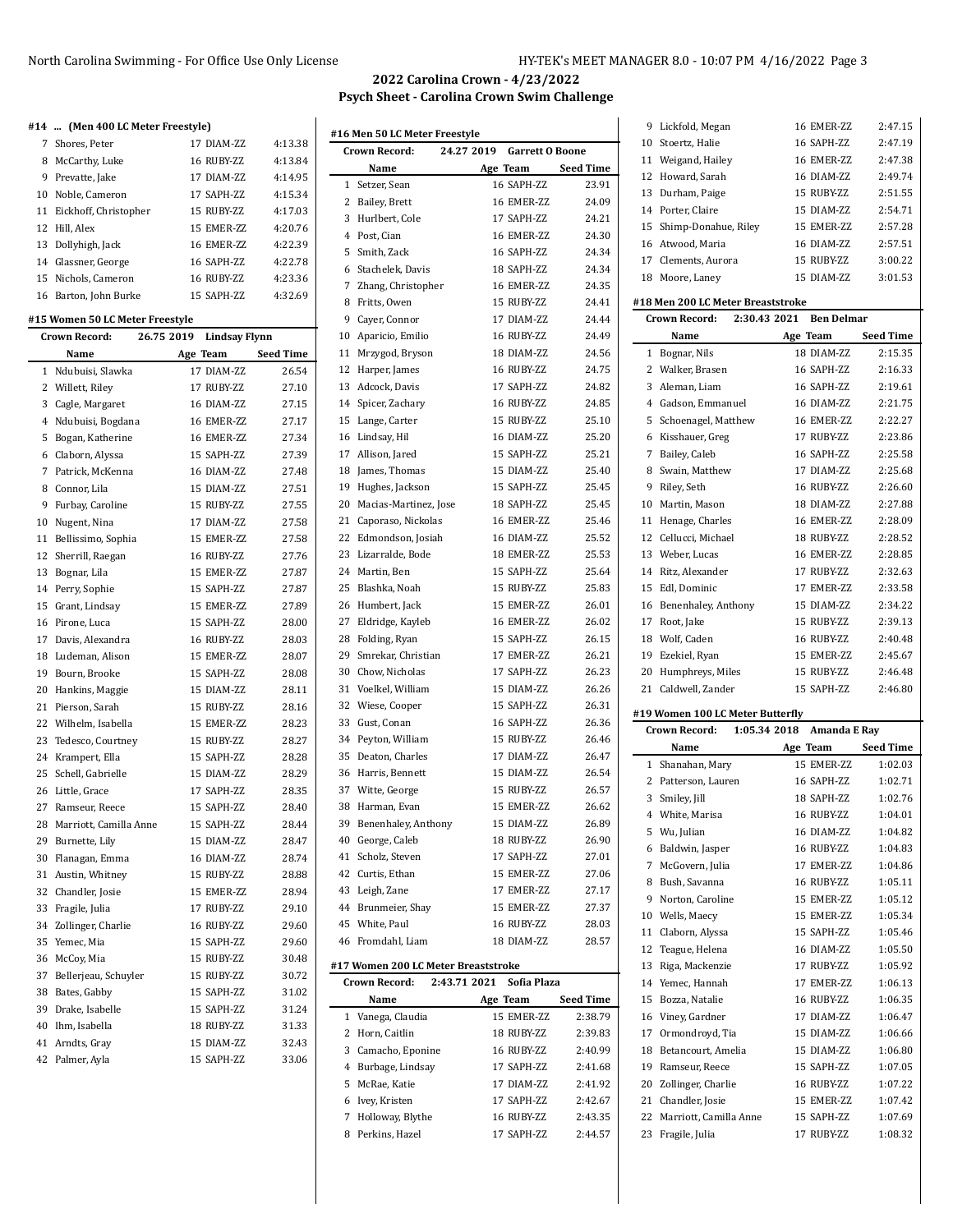# North Carolina Swimming - For Office Use Only License HY-TEK's MEET MANAGER 8.0 - 10:07 PM 4/16/2022 Page 3

# **2022 Carolina Crown - 4/23/2022 Psych Sheet - Carolina Crown Swim Challenge**

 $\overline{\phantom{a}}$ 

 $\overline{a}$ 

| #14  (Men 400 LC Meter Freestyle) |              |         |
|-----------------------------------|--------------|---------|
| 7 Shores, Peter                   | 17 DIAM-7.7. | 4:13.38 |
| 8 McCarthy, Luke                  | 16 RUBY-ZZ   | 4:13.84 |
| 9 Prevatte, Jake                  | 17 DIAM-7.7. | 4:14.95 |
| $\cdots$                          | --------     |         |

| 9 Prevatte, Jake         | 17 DIAM-7.7. | 4:14.95 |
|--------------------------|--------------|---------|
| 10 Noble, Cameron        | 17 SAPH-ZZ   | 4:15.34 |
| 11 Eickhoff, Christopher | 15 RUBY-ZZ   | 4:17.03 |
| 12 Hill, Alex            | 15 EMER-7.7. | 4:20.76 |
| 13 Dollyhigh, Jack       | 16 EMER-ZZ   | 4:22.39 |
| 14 Glassner, George      | 16 SAPH-7.7  | 4:22.78 |
| 15 Nichols, Cameron      | 16 RUBY-ZZ   | 4:23.36 |
| 16 Barton, John Burke    | 15 SAPH-ZZ   | 4:32.69 |

### **#15 Women 50 LC Meter Freestyle**

|                | Crown Record:          | 26.75 2019 | Lindsay Flynn |                  |
|----------------|------------------------|------------|---------------|------------------|
|                | Name                   |            | Age Team      | <b>Seed Time</b> |
| 1              | Ndubuisi, Slawka       |            | 17 DIAM-ZZ    | 26.54            |
| 2              | Willett, Riley         |            | 17 RUBY-ZZ    | 27.10            |
| 3              | Cagle, Margaret        |            | 16 DIAM-ZZ    | 27.15            |
| $\overline{4}$ | Ndubuisi, Bogdana      |            | 16 EMER-ZZ    | 27.17            |
| 5              | Bogan, Katherine       |            | 16 EMER-ZZ    | 27.34            |
| 6              | Claborn, Alyssa        |            | 15 SAPH-ZZ    | 27.39            |
| $\overline{7}$ | Patrick, McKenna       |            | 16 DIAM-ZZ    | 27.48            |
| 8              | Connor, Lila           |            | 15 DIAM-ZZ    | 27.51            |
| 9              | Furbay, Caroline       |            | 15 RUBY-ZZ    | 27.55            |
| 10             | Nugent, Nina           |            | 17 DIAM-ZZ    | 27.58            |
| 11             | Bellissimo, Sophia     |            | 15 EMER-ZZ    | 27.58            |
| 12             | Sherrill, Raegan       |            | 16 RUBY-ZZ    | 27.76            |
| 13             | Bognar, Lila           |            | 15 EMER-ZZ    | 27.87            |
| 14             | Perry, Sophie          |            | 15 SAPH-ZZ    | 27.87            |
| 15             | Grant, Lindsay         |            | 15 EMER-ZZ    | 27.89            |
| 16             | Pirone, Luca           |            | 15 SAPH-ZZ    | 28.00            |
|                | 17 Davis, Alexandra    |            | 16 RUBY-ZZ    | 28.03            |
| 18             | Ludeman, Alison        |            | 15 EMER-ZZ    | 28.07            |
| 19             | Bourn, Brooke          |            | 15 SAPH-ZZ    | 28.08            |
| 20             | Hankins, Maggie        |            | 15 DIAM-ZZ    | 28.11            |
|                | 21 Pierson, Sarah      |            | 15 RUBY-ZZ    | 28.16            |
| 22             | Wilhelm, Isabella      |            | 15 EMER-ZZ    | 28.23            |
| 23             | Tedesco, Courtney      |            | 15 RUBY-ZZ    | 28.27            |
| 24             | Krampert, Ella         |            | 15 SAPH-ZZ    | 28.28            |
| 25             | Schell, Gabrielle      |            | 15 DIAM-ZZ    | 28.29            |
| 26             | Little, Grace          |            | 17 SAPH-ZZ    | 28.35            |
| 27             | Ramseur, Reece         |            | 15 SAPH-ZZ    | 28.40            |
| 28             | Marriott, Camilla Anne |            | 15 SAPH-ZZ    | 28.44            |
| 29             | Burnette, Lily         |            | 15 DIAM-ZZ    | 28.47            |
| 30             | Flanagan, Emma         |            | 16 DIAM-ZZ    | 28.74            |
| 31             | Austin, Whitney        |            | 15 RUBY-ZZ    | 28.88            |
|                | 32 Chandler, Josie     |            | 15 EMER-ZZ    | 28.94            |
| 33             | Fragile, Julia         |            | 17 RUBY-ZZ    | 29.10            |
| 34             | Zollinger, Charlie     |            | 16 RUBY-ZZ    | 29.60            |
| 35             | Yemec, Mia             |            | 15 SAPH-ZZ    | 29.60            |
| 36             | McCoy, Mia             |            | 15 RUBY-ZZ    | 30.48            |
| 37             | Bellerjeau, Schuyler   |            | 15 RUBY-ZZ    | 30.72            |
| 38             | Bates, Gabby           |            | 15 SAPH-ZZ    | 31.02            |
| 39             | Drake, Isabelle        |            | 15 SAPH-ZZ    | 31.24            |
| 40             | Ihm, Isabella          |            | 18 RUBY-ZZ    | 31.33            |
| 41             | Arndts, Gray           |            | 15 DIAM-ZZ    | 32.43            |
| 42             | Palmer, Ayla           |            | 15 SAPH-ZZ    | 33.06            |

| #16 Men 50 LC Meter Freestyle |                                      |              |  |                            |                  |
|-------------------------------|--------------------------------------|--------------|--|----------------------------|------------------|
|                               | <b>Crown Record:</b>                 |              |  | 24.27 2019 Garrett O Boone |                  |
|                               | Name                                 |              |  | Age Team                   | <b>Seed Time</b> |
| 1                             | Setzer, Sean                         |              |  | 16 SAPH-7.7.               | 23.91            |
|                               | 2 Bailey, Brett                      |              |  | 16 EMER-ZZ                 | 24.09            |
|                               | 3 Hurlbert, Cole                     |              |  | 17 SAPH-7.7.               | 24.21            |
|                               | 4 Post. Cian                         |              |  | 16 EMER-ZZ                 | 24.30            |
| 5                             | Smith, Zack                          |              |  | 16 SAPH-ZZ                 | 24.34            |
|                               | 6 Stachelek, Davis                   |              |  | 18 SAPH-ZZ                 | 24.34            |
| 7                             | Zhang, Christopher                   |              |  | 16 EMER-ZZ                 | 24.35            |
|                               | 8 Fritts, Owen                       |              |  | 15 RUBY-ZZ                 | 24.41            |
|                               | 9 Cayer, Connor                      |              |  | 17 DIAM-ZZ                 | 24.44            |
| 10                            | Aparicio, Emilio                     |              |  | 16 RUBY-ZZ                 | 24.49            |
| 11                            | Mrzygod, Bryson                      |              |  | 18 DIAM-ZZ                 | 24.56            |
| 12                            | Harper, James                        |              |  | 16 RUBY-ZZ                 | 24.75            |
|                               | 13 Adcock, Davis                     |              |  | 17 SAPH-ZZ                 | 24.82            |
|                               | 14 Spicer, Zachary                   |              |  | 16 RUBY-ZZ                 | 24.85            |
| 15                            | Lange, Carter                        |              |  | 15 RUBY-ZZ                 | 25.10            |
| 16                            | Lindsay, Hil                         |              |  | 16 DIAM-ZZ                 | 25.20            |
| 17                            | Allison, Jared                       |              |  | 15 SAPH-ZZ                 | 25.21            |
| 18                            | James, Thomas                        |              |  | 15 DIAM-ZZ                 | 25.40            |
| 19                            | Hughes, Jackson                      |              |  | 15 SAPH-ZZ                 | 25.45            |
| 20                            | Macias-Martinez, Jose                |              |  | 18 SAPH-ZZ                 | 25.45            |
| 21                            | Caporaso, Nickolas                   |              |  | 16 EMER-ZZ                 | 25.46            |
| 22                            | Edmondson, Josiah                    |              |  | 16 DIAM-ZZ                 | 25.52            |
|                               | 23 Lizarralde, Bode                  |              |  | 18 EMER-7.7.               | 25.53            |
|                               | 24 Martin, Ben                       |              |  | 15 SAPH-ZZ                 | 25.64            |
| 25                            | Blashka, Noah                        |              |  | 15 RUBY-ZZ                 | 25.83            |
| 26                            | Humbert, Jack                        |              |  | 15 EMER-ZZ                 | 26.01            |
| 27                            | Eldridge, Kayleb                     |              |  | 16 EMER-ZZ                 | 26.02            |
|                               | 28 Folding, Ryan                     |              |  | 15 SAPH-ZZ                 | 26.15            |
| 29                            | Smrekar, Christian                   |              |  | 17 EMER-ZZ                 | 26.21            |
| 30                            | Chow, Nicholas                       |              |  | 17 SAPH-ZZ                 | 26.23            |
| 31                            | Voelkel, William                     |              |  | 15 DIAM-ZZ                 | 26.26            |
| 32                            | Wiese, Cooper                        |              |  | 15 SAPH-ZZ                 | 26.31            |
| 33                            | Gust, Conan                          |              |  | 16 SAPH-ZZ                 | 26.36            |
|                               | 34 Peyton, William                   |              |  | 15 RUBY-ZZ                 | 26.46            |
| 35                            | Deaton, Charles                      |              |  | 17 DIAM-ZZ                 | 26.47            |
|                               | 36 Harris, Bennett                   |              |  | 15 DIAM-ZZ                 | 26.54            |
|                               | 37 Witte, George                     |              |  | 15 RUBY-ZZ                 | 26.57            |
| 38                            | Harman, Evan                         |              |  | 15 EMER-ZZ                 | 26.62            |
|                               | 39 Benenhaley, Anthony               |              |  | 15 DIAM-ZZ                 | 26.89            |
|                               | 40 George, Caleb                     |              |  | 18 RUBY-ZZ                 | 26.90            |
| 41                            | Scholz, Steven                       |              |  | 17 SAPH-ZZ                 | 27.01            |
|                               | 42 Curtis, Ethan                     |              |  | 15 EMER-ZZ                 | 27.06            |
|                               |                                      |              |  | 17 EMER-ZZ                 | 27.17            |
|                               | 43 Leigh, Zane<br>44 Brunmeier, Shay |              |  | 15 EMER-ZZ                 | 27.37            |
|                               | 45 White, Paul                       |              |  | 16 RUBY-ZZ                 | 28.03            |
|                               | 46 Fromdahl, Liam                    |              |  | 18 DIAM-ZZ                 | 28.57            |
|                               | #17 Women 200 LC Meter Breaststroke  |              |  |                            |                  |
|                               | <b>Crown Record:</b>                 | 2:43.71 2021 |  | Sofia Plaza                |                  |
|                               | Name                                 |              |  | Age Team                   | <b>Seed Time</b> |
| $\mathbf{1}$                  | Vanega, Claudia                      |              |  | 15 EMER-ZZ                 | 2:38.79          |
|                               | 2 Horn, Caitlin                      |              |  | 18 RUBY-ZZ                 | 2.39.83          |
|                               | 3 Camacho, Eponine                   |              |  | 16 RUBY-ZZ                 | 2:40.99          |
|                               | 4 Burbage, Lindsay                   |              |  | 17 SAPH-ZZ                 | 2:41.68          |
|                               | 5 McRae, Katie                       |              |  | 17 DIAM-ZZ                 | 2:41.92          |
|                               | 6 Ivey, Kristen                      |              |  | 17 SAPH-ZZ                 | 2:42.67          |
| 7                             | Holloway, Blythe                     |              |  | 16 RUBY-ZZ                 | 2:43.35          |
| 8                             | Perkins, Hazel                       |              |  | 17 SAPH-ZZ                 | 2:44.57          |

| 9  | Lickfold, Megan                             | 16 EMER-ZZ               | 2:47.15            |
|----|---------------------------------------------|--------------------------|--------------------|
|    | 10 Stoertz, Halie                           | 16 SAPH-ZZ               | 2:47.19            |
|    | 11 Weigand, Hailey                          | 16 EMER-ZZ               | 2:47.38            |
|    | 12 Howard, Sarah                            | 16 DIAM-ZZ               | 2:49.74            |
|    | 13 Durham, Paige                            | 15 RUBY-ZZ               | 2:51.55            |
|    | 14 Porter, Claire                           | 15 DIAM-ZZ               | 2:54.71            |
| 15 | Shimp-Donahue, Riley                        | 15 EMER-ZZ               | 2:57.28            |
|    | 16 Atwood, Maria                            | 16 DIAM-ZZ               | 2:57.51            |
|    | 17 Clements, Aurora                         | 15 RUBY-ZZ               | 3:00.22            |
|    | 18 Moore, Laney                             | 15 DIAM-ZZ               | 3:01.53            |
|    |                                             |                          |                    |
|    | #18 Men 200 LC Meter Breaststroke           |                          |                    |
|    | 2:30.43 2021<br>Crown Record:               | Ben Delmar               |                    |
|    | Name                                        | Age Team                 | <b>Seed Time</b>   |
| 1  | Bognar, Nils                                | 18 DIAM-ZZ               | 2:15.35            |
|    | 2 Walker, Brasen                            | 16 SAPH-ZZ               | 2:16.33            |
|    | 3 Aleman, Liam                              | 16 SAPH-ZZ               | 2:19.61            |
|    | 4 Gadson, Emmanuel                          | 16 DIAM-ZZ               | 2:21.75            |
| 5  | Schoenagel, Matthew                         | 16 EMER-ZZ               | 2:22.27            |
| 6  | Kisshauer, Greg                             | 17 RUBY-ZZ               | 2:23.86            |
|    | 7 Bailey, Caleb                             | 16 SAPH-ZZ               | 2:25.58            |
| 8  | Swain, Matthew                              | 17 DIAM-ZZ               | 2:25.68            |
| 9  | Riley, Seth                                 | 16 RUBY-ZZ               | 2:26.60            |
| 10 | Martin, Mason                               | 18 DIAM-ZZ               | 2:27.88            |
| 11 | Henage, Charles                             | 16 EMER-ZZ               | 2:28.09            |
|    | 12 Cellucci, Michael                        | 18 RUBY-ZZ               | 2:28.52            |
|    | 13 Weber, Lucas                             | 16 EMER-ZZ               | 2:28.85            |
|    | 14 Ritz, Alexander                          | 17 RUBY-ZZ               | 2:32.63            |
|    | 15 Edl, Dominic                             | 17 EMER-ZZ               | 2:33.58            |
|    | 16 Benenhaley, Anthony                      | 15 DIAM-ZZ               | 2:34.22            |
|    | 17 Root, Jake                               | 15 RUBY-ZZ               | 2:39.13            |
|    |                                             |                          |                    |
|    | 18 Wolf, Caden                              | 16 RUBY-ZZ               | 2:40.48            |
|    | 19 Ezekiel, Ryan                            | 15 EMER-ZZ               | 2:45.67            |
| 20 | Humphreys, Miles                            | 15 RUBY-ZZ               | 2:46.48            |
|    | 21 Caldwell, Zander                         | 15 SAPH-ZZ               | 2:46.80            |
|    | #19 Women 100 LC Meter Butterfly            |                          |                    |
|    | 1:05.34 2018<br>Crown Record:               | <b>Amanda E Ray</b>      |                    |
|    | Name                                        | Age Team                 | <b>Seed Time</b>   |
|    | 1 Shanahan, Mary                            | 15 EMER-ZZ               | 1:02.03            |
|    | 2 Patterson, Lauren                         | 16 SAPH-ZZ               | 1:02.71            |
|    | 3 Smiley, Jill                              | 18 SAPH-ZZ               | 1:02.76            |
|    | 4 White, Marisa                             | 16 RUBY-ZZ               | 1:04.01            |
|    | 5 Wu, Julian                                | 16 DIAM-ZZ               | 1:04.82            |
|    | 6 Baldwin, Jasper                           | 16 RUBY-ZZ               | 1:04.83            |
|    | 7 McGovern, Julia                           | 17 EMER-ZZ               | 1:04.86            |
| 8  | Bush, Savanna                               | 16 RUBY-ZZ               | 1:05.11            |
| 9  | Norton, Caroline                            | 15 EMER-ZZ               | 1:05.12            |
|    | 10 Wells, Maecy                             | 15 EMER-ZZ               | 1:05.34            |
| 11 | Claborn, Alyssa                             | 15 SAPH-ZZ               | 1:05.46            |
|    | 12 Teague, Helena                           | 16 DIAM-ZZ               | 1:05.50            |
| 13 | Riga, Mackenzie                             | 17 RUBY-ZZ               | 1:05.92            |
|    | 14 Yemec, Hannah                            | 17 EMER-ZZ               | 1:06.13            |
| 15 | Bozza, Natalie                              | 16 RUBY-ZZ               | 1:06.35            |
|    | 16 Viney, Gardner                           | 17 DIAM-ZZ               | 1:06.47            |
|    | 17 Ormondroyd, Tia                          | 15 DIAM-ZZ               | 1:06.66            |
| 18 | Betancourt, Amelia                          | 15 DIAM-ZZ               | 1:06.80            |
|    | 19 Ramseur, Reece                           | 15 SAPH-ZZ               | 1:07.05            |
|    | 20 Zollinger, Charlie                       | 16 RUBY-ZZ               | 1:07.22            |
|    | 21 Chandler, Josie                          | 15 EMER-ZZ               | 1:07.42            |
| 23 | 22 Marriott, Camilla Anne<br>Fragile, Julia | 15 SAPH-ZZ<br>17 RUBY-ZZ | 1:07.69<br>1:08.32 |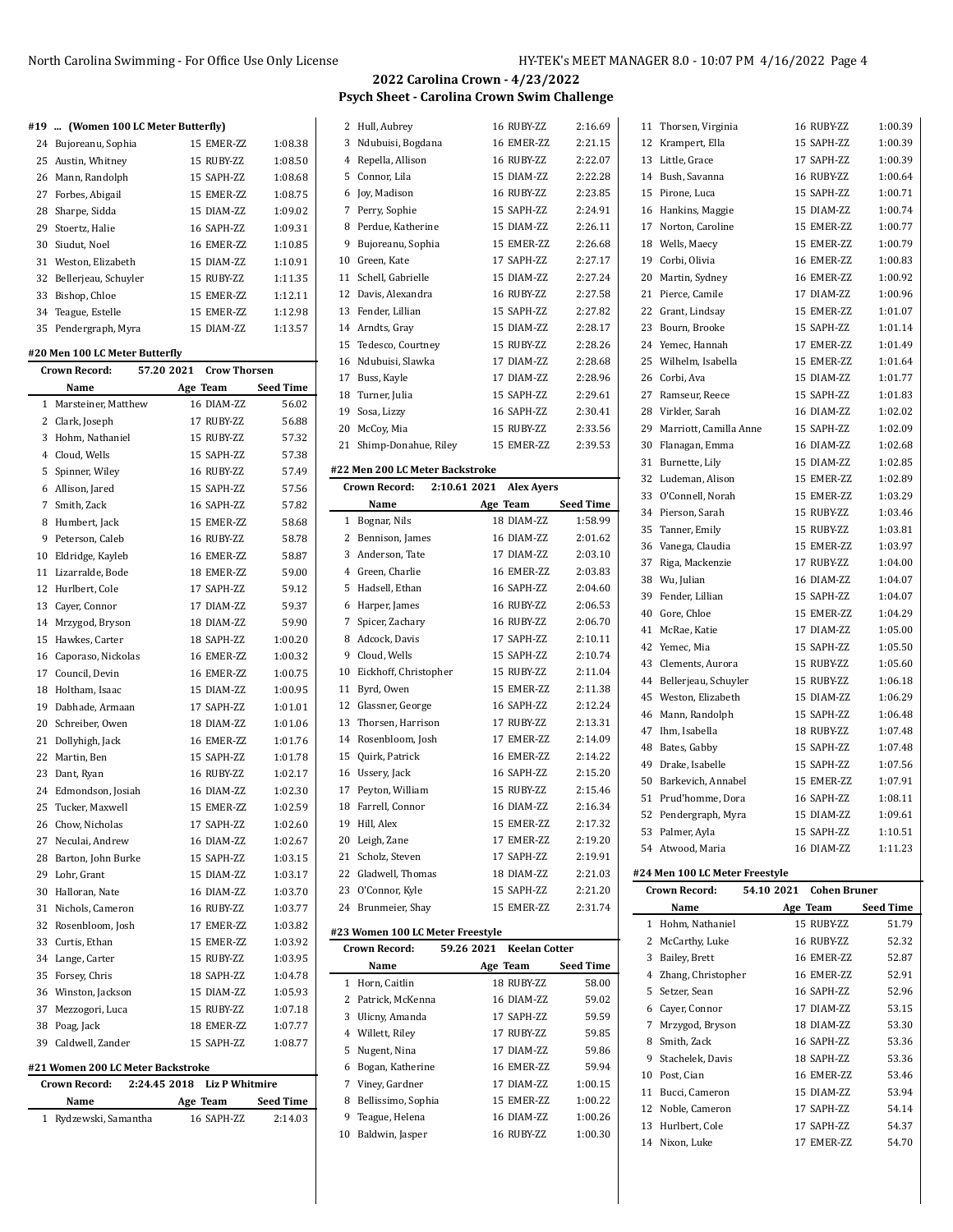# **2022 Carolina Crown - 4/23/2022 Psych Sheet - Carolina Crown Swim Challenge**

Hull, Aubrey 16 RUBY-ZZ 2:16.69

|  |  | #19  (Women 100 LC Meter Butterfly) |  |
|--|--|-------------------------------------|--|
|  |  |                                     |  |

|  | 24 Bujoreanu, Sophia    | 15 EMER-ZZ | 1:08.38 |
|--|-------------------------|------------|---------|
|  | 25 Austin, Whitney      | 15 RUBY-ZZ | 1:08.50 |
|  | 26 Mann, Randolph       | 15 SAPH-ZZ | 1:08.68 |
|  | 27 Forbes, Abigail      | 15 EMER-ZZ | 1:08.75 |
|  | 28 Sharpe, Sidda        | 15 DIAM-ZZ | 1:09.02 |
|  | 29 Stoertz, Halie       | 16 SAPH-ZZ | 1:09.31 |
|  | 30 Siudut, Noel         | 16 EMER-ZZ | 1:10.85 |
|  | 31 Weston, Elizabeth    | 15 DIAM-ZZ | 1:10.91 |
|  | 32 Bellerjeau, Schuyler | 15 RUBY-ZZ | 1:11.35 |
|  | 33 Bishop, Chloe        | 15 EMER-ZZ | 1:12.11 |
|  | 34 Teague, Estelle      | 15 EMER-ZZ | 1:12.98 |
|  | 35 Pendergraph, Myra    | 15 DIAM-ZZ | 1:13.57 |

#### **#20 Men 100 LC Meter Butterfly**

|             | 57.20 2021<br>Crow Thorsen<br><b>Crown Record:</b> |  |            |                  |
|-------------|----------------------------------------------------|--|------------|------------------|
|             | Name                                               |  | Age Team   | <b>Seed Time</b> |
| 1           | Marsteiner, Matthew                                |  | 16 DIAM-ZZ | 56.02            |
|             | 2 Clark, Joseph                                    |  | 17 RUBY-ZZ | 56.88            |
|             | 3 Hohm, Nathaniel                                  |  | 15 RUBY-ZZ | 57.32            |
|             | 4 Cloud, Wells                                     |  | 15 SAPH-ZZ | 57.38            |
| 5           | Spinner, Wiley                                     |  | 16 RUBY-ZZ | 57.49            |
|             | 6 Allison, Jared                                   |  | 15 SAPH-ZZ | 57.56            |
| $7^{\circ}$ | Smith, Zack                                        |  | 16 SAPH-ZZ | 57.82            |
|             | 8 Humbert, Jack                                    |  | 15 EMER-ZZ | 58.68            |
| 9           | Peterson, Caleb                                    |  | 16 RUBY-ZZ | 58.78            |
|             | 10 Eldridge, Kayleb                                |  | 16 EMER-ZZ | 58.87            |
| 11          | Lizarralde, Bode                                   |  | 18 EMER-ZZ | 59.00            |
| 12          | Hurlbert, Cole                                     |  | 17 SAPH-ZZ | 59.12            |
| 13          | Cayer, Connor                                      |  | 17 DIAM-ZZ | 59.37            |
|             | 14 Mrzygod, Bryson                                 |  | 18 DIAM-ZZ | 59.90            |
| 15          | Hawkes, Carter                                     |  | 18 SAPH-ZZ | 1:00.20          |
| 16          | Caporaso, Nickolas                                 |  | 16 EMER-ZZ | 1:00.32          |
| 17          | Council, Devin                                     |  | 16 EMER-ZZ | 1:00.75          |
| 18          | Holtham, Isaac                                     |  | 15 DIAM-ZZ | 1:00.95          |
| 19          | Dabhade, Armaan                                    |  | 17 SAPH-ZZ | 1:01.01          |
| 20          | Schreiber, Owen                                    |  | 18 DIAM-ZZ | 1:01.06          |
| 21          | Dollyhigh, Jack                                    |  | 16 EMER-ZZ | 1:01.76          |
| 22          | Martin, Ben                                        |  | 15 SAPH-ZZ | 1:01.78          |
|             | 23 Dant, Ryan                                      |  | 16 RUBY-ZZ | 1:02.17          |
| 24          | Edmondson, Josiah                                  |  | 16 DIAM-ZZ | 1:02.30          |
| 25          | Tucker, Maxwell                                    |  | 15 EMER-ZZ | 1:02.59          |
| 26          | Chow, Nicholas                                     |  | 17 SAPH-ZZ | 1:02.60          |
| 27          | Neculai, Andrew                                    |  | 16 DIAM-ZZ | 1:02.67          |
| 28          | Barton, John Burke                                 |  | 15 SAPH-ZZ | 1:03.15          |
| 29          | Lohr, Grant                                        |  | 15 DIAM-ZZ | 1:03.17          |
| 30          | Halloran, Nate                                     |  | 16 DIAM-ZZ | 1:03.70          |
| 31          | Nichols, Cameron                                   |  | 16 RUBY-ZZ | 1:03.77          |
| 32          | Rosenbloom, Josh                                   |  | 17 EMER-ZZ | 1:03.82          |
| 33          | Curtis, Ethan                                      |  | 15 EMER-ZZ | 1:03.92          |
|             | 34 Lange, Carter                                   |  | 15 RUBY-ZZ | 1:03.95          |
| 35          | Forsey, Chris                                      |  | 18 SAPH-ZZ | 1:04.78          |
| 36          | Winston, Jackson                                   |  | 15 DIAM-ZZ | 1:05.93          |
| 37          | Mezzogori, Luca                                    |  | 15 RUBY-ZZ | 1:07.18          |
| 38          | Poag, Jack                                         |  | 18 EMER-ZZ | 1:07.77          |
| 39          | Caldwell, Zander                                   |  | 15 SAPH-ZZ | 1:08.77          |
|             | #21 Women 200 LC Meter Backstroke                  |  |            |                  |

| <b>Crown Record:</b>  |          | 2:24.45 2018 Liz P Whitmire |                  |
|-----------------------|----------|-----------------------------|------------------|
| Name                  | Age Team |                             | <b>Seed Time</b> |
| 1 Rydzewski, Samantha |          | 16 SAPH-ZZ                  | 2:14.03          |

| 3              | Ndubuisi, Bogdana                               | 16 EMER-ZZ        | 2:21.15          |
|----------------|-------------------------------------------------|-------------------|------------------|
| $\overline{4}$ | Repella, Allison                                | 16 RUBY-ZZ        | 2:22.07          |
| 5              | Connor, Lila                                    | 15 DIAM-ZZ        | 2:22.28          |
| 6              | Joy, Madison                                    | 16 RUBY-ZZ        | 2:23.85          |
| 7              | Perry, Sophie                                   | 15 SAPH-ZZ        | 2:24.91          |
| 8              | Perdue, Katherine                               | 15 DIAM-ZZ        | 2:26.11          |
| 9              | Bujoreanu, Sophia                               | 15 EMER-ZZ        | 2:26.68          |
| 10             | Green, Kate                                     | 17 SAPH-ZZ        | 2:27.17          |
| 11             | Schell, Gabrielle                               | 15 DIAM-ZZ        | 2:27.24          |
| 12             | Davis, Alexandra                                | 16 RUBY-ZZ        | 2:27.58          |
| 13             | Fender, Lillian                                 | 15 SAPH-ZZ        | 2:27.82          |
| 14             | Arndts, Gray                                    | 15 DIAM-ZZ        | 2:28.17          |
| 15             | Tedesco, Courtney                               | 15 RUBY-ZZ        | 2:28.26          |
| 16             | Ndubuisi, Slawka                                | 17 DIAM-ZZ        | 2:28.68          |
| 17             | Buss, Kayle                                     | 17 DIAM-ZZ        | 2:28.96          |
| 18             | Turner, Julia                                   | 15 SAPH-ZZ        | 2:29.61          |
| 19             | Sosa, Lizzy                                     | 16 SAPH-ZZ        | 2:30.41          |
| 20             | McCoy, Mia                                      | 15 RUBY-ZZ        | 2:33.56          |
| 21             | Shimp-Donahue, Riley                            | 15 EMER-ZZ        | 2:39.53          |
|                |                                                 |                   |                  |
|                | #22 Men 200 LC Meter Backstroke<br>2:10.61 2021 |                   |                  |
|                | <b>Crown Record:</b>                            | <b>Alex Ayers</b> |                  |
|                | Name                                            | Age Team          | <b>Seed Time</b> |
| 1              | Bognar, Nils<br>Bennison, James                 | 18 DIAM-ZZ        | 1:58.99          |
| 2              |                                                 |                   |                  |
|                |                                                 | 16 DIAM-ZZ        | 2:01.62          |
| 3              | Anderson, Tate                                  | 17 DIAM-ZZ        | 2:03.10          |
| $\overline{4}$ | Green, Charlie                                  | 16 EMER-ZZ        | 2:03.83          |
| 5              | Hadsell, Ethan                                  | 16 SAPH-ZZ        | 2:04.60          |
| 6              | Harper, James                                   | 16 RUBY-ZZ        | 2:06.53          |
| 7              | Spicer, Zachary                                 | 16 RUBY-ZZ        | 2:06.70          |
| 8              | Adcock, Davis                                   | 17 SAPH-ZZ        | 2:10.11          |
| 9              | Cloud, Wells                                    | 15 SAPH-ZZ        | 2:10.74          |
| 10             | Eickhoff, Christopher                           | 15 RUBY-ZZ        | 2:11.04          |
| 11             | Byrd, Owen                                      | 15 EMER-ZZ        | 2:11.38          |
| 12             | Glassner, George                                | 16 SAPH-ZZ        | 2:12.24          |
| 13             | Thorsen, Harrison                               | 17 RUBY-ZZ        | 2:13.31          |
| 14             | Rosenbloom, Josh                                | 17 EMER-ZZ        | 2:14.09          |
| 15             | Quirk, Patrick                                  | 16 EMER-ZZ        | 2:14.22          |
| 16             | Ussery, Jack                                    | 16 SAPH-ZZ        | 2:15.20          |
| 17             | Peyton, William                                 | 15 RUBY-ZZ        | 2:15.46          |
| 18             | Farrell, Connor                                 | 16 DIAM-ZZ        | 2:16.34          |
| 19             | Hill, Alex                                      | 15 EMER-ZZ        | 2:17.32          |
| 20             | Leigh, Zane                                     | 17 EMER-ZZ        | 2:19.20          |
| 21             | Scholz, Steven                                  | 17 SAPH-ZZ        | 2:19.91          |
| 22             | Gladwell, Thomas                                | 18 DIAM-ZZ        | 2:21.03          |
| 23             | O'Connor, Kyle                                  | 15 SAPH-ZZ        | 2:21.20          |
| 24             | Brunmeier, Shay                                 | 15 EMER-ZZ        | 2.31.74          |

|    | Crown Record:      | 59.26 2021 Keelan Cotter |              |                  |
|----|--------------------|--------------------------|--------------|------------------|
|    | Name               |                          | Age Team     | <b>Seed Time</b> |
|    | 1 Horn, Caitlin    |                          | 18 RUBY-ZZ   | 58.00            |
|    | 2 Patrick, McKenna |                          | 16 DIAM-7.7. | 59.02            |
|    | 3 Ulicny, Amanda   |                          | 17 SAPH-ZZ   | 59.59            |
|    | 4 Willett, Riley   |                          | 17 RUBY-ZZ   | 59.85            |
|    | 5 Nugent, Nina     |                          | 17 DIAM-7.7. | 59.86            |
| 6  | Bogan, Katherine   |                          | 16 EMER-7.7  | 59.94            |
|    | 7 Viney, Gardner   |                          | 17 DIAM-7.7. | 1:00.15          |
| 8  | Bellissimo, Sophia |                          | 15 EMER-7.7. | 1:00.22          |
|    | 9 Teague, Helena   |                          | 16 DIAM-7.7. | 1:00.26          |
| 10 | Baldwin, Jasper    |                          | 16 RUBY-7.7  | 1:00.30          |

| 11 | Thorsen, Virginia      | 16 RUBY-ZZ   | 1:00.39 |
|----|------------------------|--------------|---------|
| 12 | Krampert, Ella         | 15 SAPH-ZZ   | 1:00.39 |
| 13 | Little, Grace          | 17 SAPH-ZZ   | 1:00.39 |
| 14 | Bush, Savanna          | 16 RUBY-ZZ   | 1:00.64 |
| 15 | Pirone, Luca           | 15 SAPH-ZZ   | 1:00.71 |
| 16 | Hankins, Maggie        | 15 DIAM-ZZ   | 1:00.74 |
| 17 | Norton, Caroline       | 15 EMER-ZZ   | 1:00.77 |
| 18 | Wells, Maecy           | 15 EMER-7.7. | 1:00.79 |
| 19 | Corbi, Olivia          | 16 EMER-ZZ   | 1:00.83 |
| 20 | Martin, Sydney         | 16 EMER-ZZ   | 1:00.92 |
| 21 | Pierce, Camile         | 17 DIAM-ZZ   | 1:00.96 |
| 22 | Grant, Lindsay         | 15 EMER-ZZ   | 1:01.07 |
| 23 | Bourn, Brooke          | 15 SAPH-ZZ   | 1:01.14 |
| 24 | Yemec, Hannah          | 17 EMER-ZZ   | 1:01.49 |
| 25 | Wilhelm, Isabella      | 15 EMER-ZZ   | 1:01.64 |
| 26 | Corbi. Ava             | 15 DIAM-7.7. | 1:01.77 |
| 27 | Ramseur, Reece         | 15 SAPH-ZZ   | 1:01.83 |
| 28 | Virkler, Sarah         | 16 DIAM-ZZ   | 1:02.02 |
| 29 | Marriott, Camilla Anne | 15 SAPH-ZZ   | 1:02.09 |
| 30 | Flanagan, Emma         | 16 DIAM-ZZ   | 1:02.68 |
| 31 | Burnette, Lily         | 15 DIAM-ZZ   | 1:02.85 |
| 32 | Ludeman, Alison        | 15 EMER-ZZ   | 1:02.89 |
| 33 | O'Connell. Norah       | 15 EMER-7.7. | 1:03.29 |
| 34 | Pierson, Sarah         | 15 RUBY-ZZ   | 1:03.46 |
| 35 | Tanner, Emily          | 15 RUBY-ZZ   | 1:03.81 |
| 36 | Vanega, Claudia        | 15 EMER-ZZ   | 1:03.97 |
| 37 | Riga, Mackenzie        | 17 RUBY-ZZ   | 1:04.00 |
| 38 | Wu, Julian             | 16 DIAM-ZZ   | 1:04.07 |
| 39 | Fender, Lillian        | 15 SAPH-ZZ   | 1:04.07 |
| 40 | Gore, Chloe            | 15 EMER-7.7. | 1:04.29 |
| 41 | McRae, Katie           | 17 DIAM-ZZ   | 1:05.00 |
| 42 | Yemec, Mia             | 15 SAPH-ZZ   | 1:05.50 |
| 43 | Clements, Aurora       | 15 RUBY-ZZ   | 1:05.60 |
| 44 | Bellerjeau, Schuyler   | 15 RUBY-ZZ   | 1:06.18 |
| 45 | Weston, Elizabeth      | 15 DIAM-ZZ   | 1:06.29 |
| 46 | Mann, Randolph         | 15 SAPH-ZZ   | 1:06.48 |
| 47 | Ihm, Isabella          | 18 RUBY-ZZ   | 1:07.48 |
| 48 | Bates, Gabby           | 15 SAPH-ZZ   | 1:07.48 |
| 49 | Drake, Isabelle        | 15 SAPH-ZZ   | 1:07.56 |
| 50 | Barkevich, Annabel     | 15 EMER-ZZ   | 1:07.91 |
| 51 | Prud'homme, Dora       | 16 SAPH-ZZ   | 1:08.11 |
| 52 | Pendergraph, Myra      | 15 DIAM-ZZ   | 1:09.61 |
| 53 | Palmer, Ayla           | 15 SAPH-ZZ   | 1:10.51 |
|    | 54 Atwood, Maria       | 16 DIAM-ZZ   | 1:11.23 |
|    |                        |              |         |

## **#24 Men 100 LC Meter Freestyle**

|    | Crown Record:      | 54.10 2021 Cohen Bruner |              |                  |
|----|--------------------|-------------------------|--------------|------------------|
|    | Name               |                         | Age Team     | <b>Seed Time</b> |
| 1  | Hohm, Nathaniel    |                         | 15 RUBY-7.7. | 51.79            |
| 2  | McCarthy, Luke     |                         | 16 RUBY-7.7. | 52.32            |
| 3  | Bailey, Brett      |                         | 16 EMER-7.7  | 52.87            |
| 4  | Zhang, Christopher |                         | 16 EMER-7.7  | 52.91            |
| 5. | Setzer, Sean       |                         | 16 SAPH-77   | 52.96            |
| 6  | Cayer, Connor      |                         | 17 DIAM-7.7. | 53.15            |
| 7  | Mrzygod, Bryson    |                         | 18 DIAM-7.7. | 53.30            |
| 8  | Smith, Zack        |                         | 16 SAPH-77   | 53.36            |
| 9  | Stachelek, Davis   |                         | 18 SAPH-77   | 53.36            |
| 10 | Post, Cian         |                         | 16 EMER-7.7  | 53.46            |
| 11 | Bucci, Cameron     |                         | 15 DIAM-7.7. | 53.94            |
| 12 | Noble, Cameron     |                         | 17 SAPH-77   | 54.14            |
| 13 | Hurlbert, Cole     |                         | 17 SAPH-77   | 54.37            |
|    | 14 Nixon, Luke     |                         | 17 EMER-ZZ   | 54.70            |